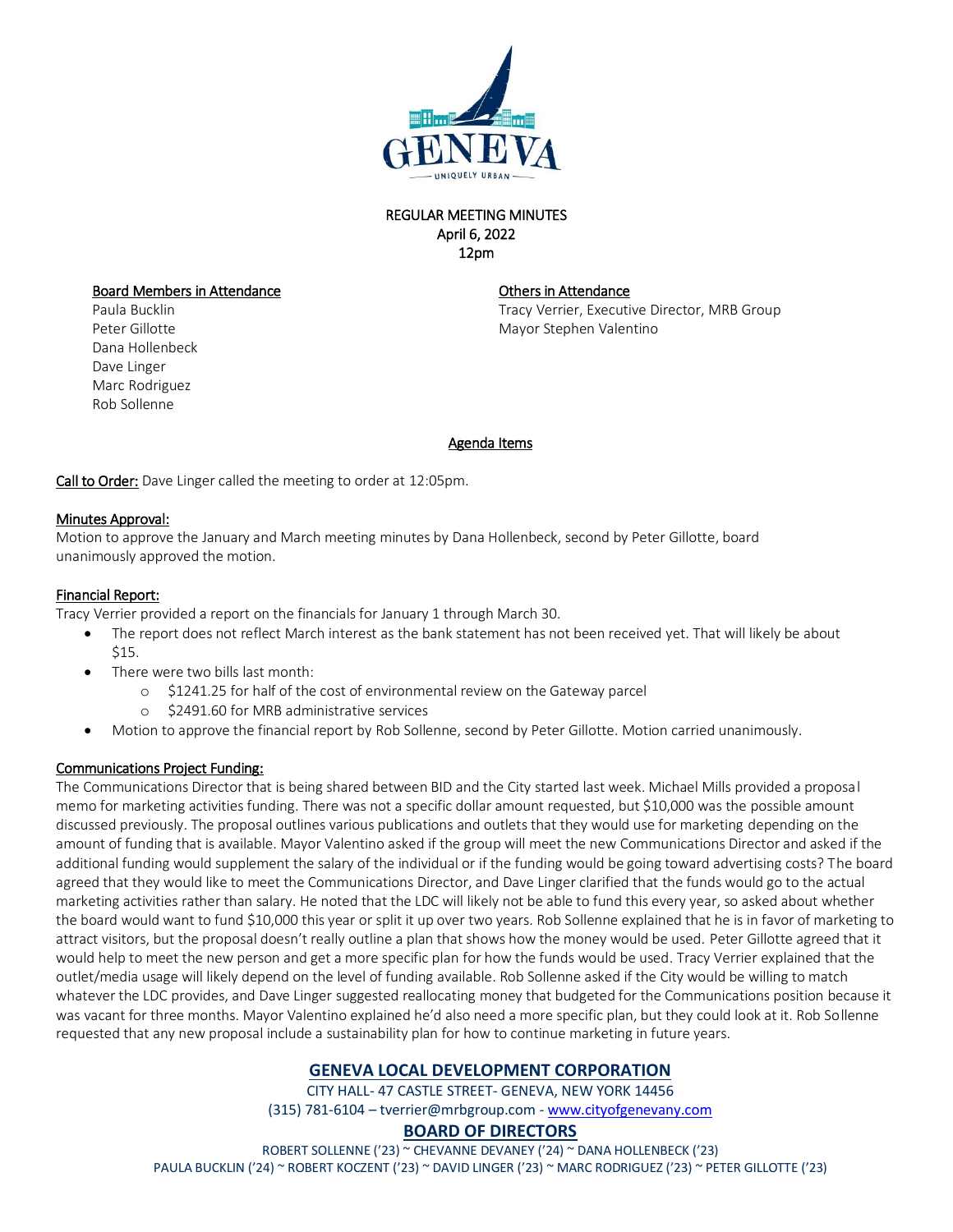

### REGULAR MEETING MINUTES April 6, 2022 12pm

#### Board Members in Attendance

Paula Bucklin Peter Gillotte Dana Hollenbeck Dave Linger Marc Rodriguez Rob Sollenne

#### Others in Attendance

Tracy Verrier, Executive Director, MRB Group Mayor Stephen Valentino

#### Agenda Items

Call to Order: Dave Linger called the meeting to order at 12:05pm.

#### Minutes Approval:

Motion to approve the January and March meeting minutes by Dana Hollenbeck, second by Peter Gillotte, board unanimously approved the motion.

### Financial Report:

Tracy Verrier provided a report on the financials for January 1 through March 30.

- The report does not reflect March interest as the bank statement has not been received yet. That will likely be about \$15.
- There were two bills last month:
	- o \$1241.25 for half of the cost of environmental review on the Gateway parcel
	- o \$2491.60 for MRB administrative services
- Motion to approve the financial report by Rob Sollenne, second by Peter Gillotte. Motion carried unanimously.

# Communications Project Funding:

The Communications Director that is being shared between BID and the City started last week. Michael Mills provided a proposal memo for marketing activities funding. There was not a specific dollar amount requested, but \$10,000 was the possible amount discussed previously. The proposal outlines various publications and outlets that they would use for marketing depending on the amount of funding that is available. Mayor Valentino asked if the group will meet the new Communications Director and asked if the additional funding would supplement the salary of the individual or if the funding would be going toward advertising costs? The board agreed that they would like to meet the Communications Director, and Dave Linger clarified that the funds would go to the actual marketing activities rather than salary. He noted that the LDC will likely not be able to fund this every year, so asked about whether the board would want to fund \$10,000 this year or split it up over two years. Rob Sollenne explained that he is in favor of marketing to attract visitors, but the proposal doesn't really outline a plan that shows how the money would be used. Peter Gillotte agreed that it would help to meet the new person and get a more specific plan for how the funds would be used. Tracy Verrier explained that the outlet/media usage will likely depend on the level of funding available. Rob Sollenne asked if the City would be willing to match whatever the LDC provides, and Dave Linger suggested reallocating money that budgeted for the Communications position because it was vacant for three months. Mayor Valentino explained he'd also need a more specific plan, but they could look at it. Rob Sollenne requested that any new proposal include a sustainability plan for how to continue marketing in future years.

# **GENEVA LOCAL DEVELOPMENT CORPORATION**

CITY HALL- 47 CASTLE STREET- GENEVA, NEW YORK 14456 (315) 781-6104 – tverrier@mrbgroup.com - [www.cityofgenevany.com](http://www.cityofgenevany.com/)

# **BOARD OF DIRECTORS**

ROBERT SOLLENNE ('23) ~ CHEVANNE DEVANEY ('24) ~ DANA HOLLENBECK ('23) PAULA BUCKLIN ('24) ~ ROBERT KOCZENT ('23) ~ DAVID LINGER ('23) ~ MARC RODRIGUEZ ('23) ~ PETER GILLOTTE ('23)